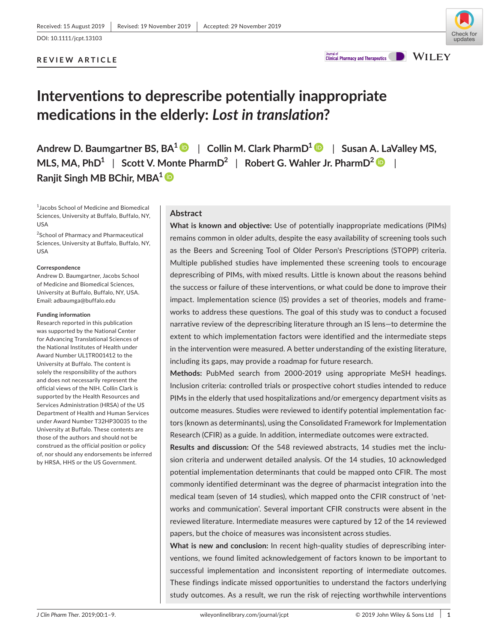## **REVIEW ARTICLE**



**Journal of**<br>**Clinical Pharmacy and Therapeutics** 

**WILEY** 

## **Interventions to deprescribe potentially inappropriate medications in the elderly:** *Lost in translation***?**

**Andrew D. Baumgartner BS, BA1** | **Collin M. Clark PharmD[1](https://orcid.org/0000-0003-3509-9779)** | **Susan A. LaValley MS, MLS, MA, PhD1** | **Scott V. Monte PharmD<sup>2</sup>** | **Robert G. Wahler Jr. PharmD<sup>2</sup>** | **Ranjit Singh MB BChir, MBA[1](https://orcid.org/0000-0003-1826-8913)**

1 Jacobs School of Medicine and Biomedical Sciences, University at Buffalo, Buffalo, NY, USA

<sup>2</sup>School of Pharmacy and Pharmaceutical Sciences, University at Buffalo, Buffalo, NY, USA

#### **Correspondence**

Andrew D. Baumgartner, Jacobs School of Medicine and Biomedical Sciences, University at Buffalo, Buffalo, NY, USA. Email: [adbaumga@buffalo.edu](mailto:adbaumga@buffalo.edu)

#### **Funding information**

Research reported in this publication was supported by the National Center for Advancing Translational Sciences of the National Institutes of Health under Award Number UL1TR001412 to the University at Buffalo. The content is solely the responsibility of the authors and does not necessarily represent the official views of the NIH. Collin Clark is supported by the Health Resources and Services Administration (HRSA) of the US Department of Health and Human Services under Award Number T32HP30035 to the University at Buffalo. These contents are those of the authors and should not be construed as the official position or policy of, nor should any endorsements be inferred by HRSA, HHS or the US Government.

## **Abstract**

**What is known and objective:** Use of potentially inappropriate medications (PIMs) remains common in older adults, despite the easy availability of screening tools such as the Beers and Screening Tool of Older Person's Prescriptions (STOPP) criteria. Multiple published studies have implemented these screening tools to encourage deprescribing of PIMs, with mixed results. Little is known about the reasons behind the success or failure of these interventions, or what could be done to improve their impact. Implementation science (IS) provides a set of theories, models and frameworks to address these questions. The goal of this study was to conduct a focused narrative review of the deprescribing literature through an IS lens—to determine the extent to which implementation factors were identified and the intermediate steps in the intervention were measured. A better understanding of the existing literature, including its gaps, may provide a roadmap for future research.

**Methods:** PubMed search from 2000-2019 using appropriate MeSH headings. Inclusion criteria: controlled trials or prospective cohort studies intended to reduce PIMs in the elderly that used hospitalizations and/or emergency department visits as outcome measures. Studies were reviewed to identify potential implementation factors (known as determinants), using the Consolidated Framework for Implementation Research (CFIR) as a guide. In addition, intermediate outcomes were extracted.

**Results and discussion:** Of the 548 reviewed abstracts, 14 studies met the inclusion criteria and underwent detailed analysis. Of the 14 studies, 10 acknowledged potential implementation determinants that could be mapped onto CFIR. The most commonly identified determinant was the degree of pharmacist integration into the medical team (seven of 14 studies), which mapped onto the CFIR construct of 'networks and communication'. Several important CFIR constructs were absent in the reviewed literature. Intermediate measures were captured by 12 of the 14 reviewed papers, but the choice of measures was inconsistent across studies.

**What is new and conclusion:** In recent high-quality studies of deprescribing interventions, we found limited acknowledgement of factors known to be important to successful implementation and inconsistent reporting of intermediate outcomes. These findings indicate missed opportunities to understand the factors underlying study outcomes. As a result, we run the risk of rejecting worthwhile interventions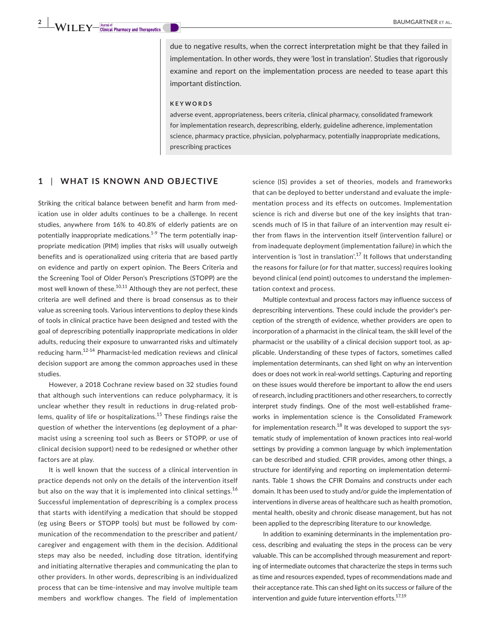due to negative results, when the correct interpretation might be that they failed in implementation. In other words, they were 'lost in translation'. Studies that rigorously examine and report on the implementation process are needed to tease apart this important distinction.

#### **KEYWORDS**

adverse event, appropriateness, beers criteria, clinical pharmacy, consolidated framework for implementation research, deprescribing, elderly, guideline adherence, implementation science, pharmacy practice, physician, polypharmacy, potentially inappropriate medications, prescribing practices

## **1** | **WHAT IS KNOWN AND OBJECTIVE**

Striking the critical balance between benefit and harm from medication use in older adults continues to be a challenge. In recent studies, anywhere from 16% to 40.8% of elderly patients are on potentially inappropriate medications.<sup>1-9</sup> The term potentially inappropriate medication (PIM) implies that risks will usually outweigh benefits and is operationalized using criteria that are based partly on evidence and partly on expert opinion. The Beers Criteria and the Screening Tool of Older Person's Prescriptions (STOPP) are the most well known of these.<sup>10,11</sup> Although they are not perfect, these criteria are well defined and there is broad consensus as to their value as screening tools. Various interventions to deploy these kinds of tools in clinical practice have been designed and tested with the goal of deprescribing potentially inappropriate medications in older adults, reducing their exposure to unwarranted risks and ultimately reducing harm.12-14 Pharmacist-led medication reviews and clinical decision support are among the common approaches used in these studies.

However, a 2018 Cochrane review based on 32 studies found that although such interventions can reduce polypharmacy, it is unclear whether they result in reductions in drug-related problems, quality of life or hospitalizations.<sup>15</sup> These findings raise the question of whether the interventions (eg deployment of a pharmacist using a screening tool such as Beers or STOPP, or use of clinical decision support) need to be redesigned or whether other factors are at play.

It is well known that the success of a clinical intervention in practice depends not only on the details of the intervention itself but also on the way that it is implemented into clinical settings.<sup>16</sup> Successful implementation of deprescribing is a complex process that starts with identifying a medication that should be stopped (eg using Beers or STOPP tools) but must be followed by communication of the recommendation to the prescriber and patient/ caregiver and engagement with them in the decision. Additional steps may also be needed, including dose titration, identifying and initiating alternative therapies and communicating the plan to other providers. In other words, deprescribing is an individualized process that can be time-intensive and may involve multiple team members and workflow changes. The field of implementation

science (IS) provides a set of theories, models and frameworks that can be deployed to better understand and evaluate the implementation process and its effects on outcomes. Implementation science is rich and diverse but one of the key insights that transcends much of IS in that failure of an intervention may result either from flaws in the intervention itself (intervention failure) or from inadequate deployment (implementation failure) in which the intervention is 'lost in translation'.<sup>17</sup> It follows that understanding the reasons for failure (or for that matter, success) requires looking beyond clinical (end point) outcomes to understand the implementation context and process.

Multiple contextual and process factors may influence success of deprescribing interventions. These could include the provider's perception of the strength of evidence, whether providers are open to incorporation of a pharmacist in the clinical team, the skill level of the pharmacist or the usability of a clinical decision support tool, as applicable. Understanding of these types of factors, sometimes called implementation determinants, can shed light on why an intervention does or does not work in real-world settings. Capturing and reporting on these issues would therefore be important to allow the end users of research, including practitioners and other researchers, to correctly interpret study findings. One of the most well-established frameworks in implementation science is the Consolidated Framework for implementation research. $^{18}$  It was developed to support the systematic study of implementation of known practices into real-world settings by providing a common language by which implementation can be described and studied. CFIR provides, among other things, a structure for identifying and reporting on implementation determinants. Table 1 shows the CFIR Domains and constructs under each domain. It has been used to study and/or guide the implementation of interventions in diverse areas of healthcare such as health promotion, mental health, obesity and chronic disease management, but has not been applied to the deprescribing literature to our knowledge.

In addition to examining determinants in the implementation process, describing and evaluating the steps in the process can be very valuable. This can be accomplished through measurement and reporting of intermediate outcomes that characterize the steps in terms such as time and resources expended, types of recommendations made and their acceptance rate. This can shed light on its success or failure of the intervention and guide future intervention efforts.<sup>17,19</sup>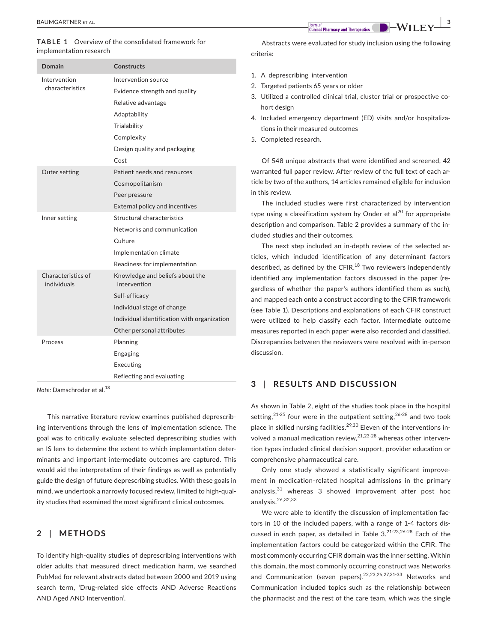#### **TABLE 1**  Overview of the consolidated framework for implementation research

| Domain                            | <b>Constructs</b>                               |  |  |
|-----------------------------------|-------------------------------------------------|--|--|
| Intervention                      | Intervention source                             |  |  |
| characteristics                   | Evidence strength and quality                   |  |  |
|                                   | Relative advantage                              |  |  |
|                                   | Adaptability                                    |  |  |
|                                   | Trialability                                    |  |  |
|                                   | Complexity                                      |  |  |
|                                   | Design quality and packaging                    |  |  |
|                                   | Cost                                            |  |  |
| Outer setting                     | Patient needs and resources                     |  |  |
|                                   | Cosmopolitanism                                 |  |  |
|                                   | Peer pressure                                   |  |  |
|                                   | External policy and incentives                  |  |  |
| Inner setting                     | Structural characteristics                      |  |  |
|                                   | Networks and communication                      |  |  |
|                                   | Culture                                         |  |  |
|                                   | Implementation climate                          |  |  |
|                                   | Readiness for implementation                    |  |  |
| Characteristics of<br>individuals | Knowledge and beliefs about the<br>intervention |  |  |
|                                   | Self-efficacy                                   |  |  |
|                                   | Individual stage of change                      |  |  |
|                                   | Individual identification with organization     |  |  |
|                                   | Other personal attributes                       |  |  |
| Process                           | Planning                                        |  |  |
|                                   | Engaging                                        |  |  |
|                                   | Executing                                       |  |  |
|                                   | Reflecting and evaluating                       |  |  |

*Note:* Damschroder et al.<sup>18</sup>

This narrative literature review examines published deprescribing interventions through the lens of implementation science. The goal was to critically evaluate selected deprescribing studies with an IS lens to determine the extent to which implementation determinants and important intermediate outcomes are captured. This would aid the interpretation of their findings as well as potentially guide the design of future deprescribing studies. With these goals in mind, we undertook a narrowly focused review, limited to high-quality studies that examined the most significant clinical outcomes.

## **2** | **METHODS**

To identify high-quality studies of deprescribing interventions with older adults that measured direct medication harm, we searched PubMed for relevant abstracts dated between 2000 and 2019 using search term, 'Drug-related side effects AND Adverse Reactions AND Aged AND Intervention'.

Abstracts were evaluated for study inclusion using the following criteria:

- 1. A deprescribing intervention
- 2. Targeted patients 65 years or older
- 3. Utilized a controlled clinical trial, cluster trial or prospective cohort design
- 4. Included emergency department (ED) visits and/or hospitalizations in their measured outcomes
- 5. Completed research.

Of 548 unique abstracts that were identified and screened, 42 warranted full paper review. After review of the full text of each article by two of the authors, 14 articles remained eligible for inclusion in this review.

The included studies were first characterized by intervention type using a classification system by Onder et  $al^{20}$  for appropriate description and comparison. Table 2 provides a summary of the included studies and their outcomes.

The next step included an in-depth review of the selected articles, which included identification of any determinant factors described, as defined by the CFIR. $^{18}$  Two reviewers independently identified any implementation factors discussed in the paper (regardless of whether the paper's authors identified them as such), and mapped each onto a construct according to the CFIR framework (see Table 1). Descriptions and explanations of each CFIR construct were utilized to help classify each factor. Intermediate outcome measures reported in each paper were also recorded and classified. Discrepancies between the reviewers were resolved with in-person discussion.

### **3** | **RESULTS AND DISCUSSION**

As shown in Table 2, eight of the studies took place in the hospital setting, $21-25$  four were in the outpatient setting, $26-28$  and two took place in skilled nursing facilities.<sup>29,30</sup> Eleven of the interventions involved a manual medication review, $2^{1,23\cdot28}$  whereas other intervention types included clinical decision support, provider education or comprehensive pharmaceutical care.

Only one study showed a statistically significant improvement in medication-related hospital admissions in the primary analysis, $31$  whereas 3 showed improvement after post hoc analysis.26,32,33

We were able to identify the discussion of implementation factors in 10 of the included papers, with a range of 1-4 factors discussed in each paper, as detailed in Table  $3.21-23.26-28$  Each of the implementation factors could be categorized within the CFIR. The most commonly occurring CFIR domain was the inner setting. Within this domain, the most commonly occurring construct was Networks and Communication (seven papers).<sup>22,23,26,27,31-33</sup> Networks and Communication included topics such as the relationship between the pharmacist and the rest of the care team, which was the single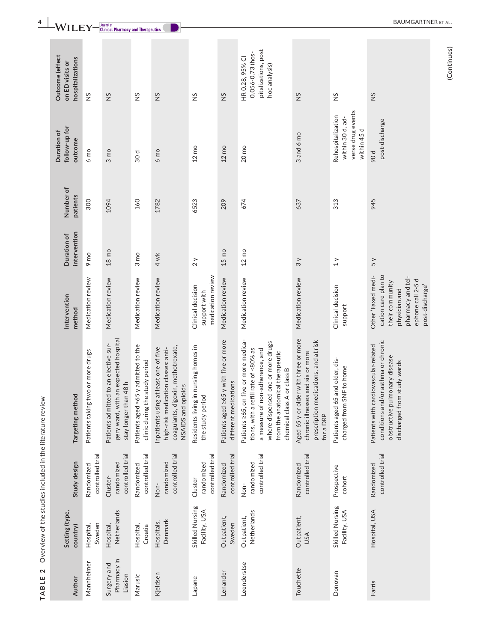| Author                                | Setting (type,<br>country)       | Study design                               | Targeting method                                                                                                                                                                                                           | Intervention<br>method                                                                                                                     | intervention<br>Duration of | Number of<br>patients | follow-up for<br>Duration of<br>outcome                                   | Outcome (effect<br>hospitalizations<br>on ED visits or                      |
|---------------------------------------|----------------------------------|--------------------------------------------|----------------------------------------------------------------------------------------------------------------------------------------------------------------------------------------------------------------------------|--------------------------------------------------------------------------------------------------------------------------------------------|-----------------------------|-----------------------|---------------------------------------------------------------------------|-----------------------------------------------------------------------------|
| Mannheimer                            | Sweden<br>Hospital,              | controlled trial<br>Randomized             | Patients taking two or more drugs                                                                                                                                                                                          | Medication review                                                                                                                          | 9 mo                        | 300                   | $6 \text{ mo}$                                                            | SZ                                                                          |
| Pharmacy in<br>Surgery and<br>Liasion | Netherlands<br>Hospital,         | controlled trial<br>randomized<br>Cluster- | gery ward, with an expected hospital<br>mitted to an elective sur-<br>stay longer than 48h<br>Patients ad                                                                                                                  | Medication review                                                                                                                          | 18 <sub>mo</sub>            | 1094                  | $3 \text{ mo}$                                                            | SN                                                                          |
| Marusic                               | Hospital,<br>Croatia             | controlled trial<br>Randomized             | Patients aged 265 y admitted to the<br>clinic during the study period                                                                                                                                                      | Medication review                                                                                                                          | 3 <sub>mo</sub>             | 160                   | 30d                                                                       | SZ                                                                          |
| Kjeldsen                              | Denmark<br>Hospitals,            | controlled trial<br>randomized<br>Non-     | coagulants, digoxin, methotrexate,<br>Inpatients using at least one of five<br>high-risk medication classes: anti-<br>NSAIDS and opioids                                                                                   | Medication review                                                                                                                          | 4 wk                        | 1782                  | $6 \text{ mo}$                                                            | SZ                                                                          |
| Lapane                                | Skilled Nursing<br>Facility, USA | controlled trial<br>randomized<br>Cluster- | Residents living in nursing homes in<br>the study period                                                                                                                                                                   | medication review<br>Clinical decision<br>support with                                                                                     | 2y                          | 6523                  | $12 \text{ mo}$                                                           | $\frac{5}{2}$                                                               |
| Lenander                              | Outpatient,<br>Sweden            | controlled trial<br>Randomized             | Patients aged 265 y with five or more<br>different medications                                                                                                                                                             | Medication review                                                                                                                          | $15 \text{ mo}$             | 209                   | $12 \text{ mo}$                                                           | $\frac{5}{2}$                                                               |
| Leenderstse                           | Netherlands<br>Outpatient,       | controlled trial<br>randomized<br>Non-     | Patients ≥65, on five or more medica-<br>where dispensed one or more drugs<br>a refill rate of <80% as<br>a measure of non-adherence, and<br>from the anatomical therapeutic<br>chemical class A or class B<br>tions, with | Medication review                                                                                                                          | $12 \text{ mo}$             | 674                   | 20 <sub>mo</sub>                                                          | pitalizations, post<br>0.056-0.73 (hos-<br>HR 0.28, 95% CI<br>hoc analysis) |
| Touchette                             | Outpatient,<br>USA               | controlled trial<br>Randomized             | Aged 65 y or older with three or more<br>prescription medications, and at risk<br>chronic illnesses and six or more<br>for a DRP                                                                                           | Medication review                                                                                                                          | 3y                          | 637                   | 3 and 6 mo                                                                | SN                                                                          |
| Donovan                               | Skilled Nursing<br>Facility, USA | Prospective<br>cohort                      | Patients aged 65 and older, dis-<br>charged from SNF to home                                                                                                                                                               | Clinical decision<br>support                                                                                                               | 1 y                         | 313                   | verse drug events<br>Rehospitalization<br>within 30 d, ad-<br>within 45 d | $\frac{5}{2}$                                                               |
| Farris                                | Hospital, USA                    | controlled trial<br>Randomized             | conditions and/or asthma or chronic<br>Patients with cardiovascular-related<br>obstructive pulmonary disease<br>discharged from study wards                                                                                | cation care plan to<br>Other 'Faxed medi-<br>pharmacy and tel-<br>ephone call 2-5 d<br>their community<br>post-discharge'<br>physician and | 5y                          | 945                   | post-discharge<br>90 d                                                    | SZ                                                                          |

TABLE 2 Overview of the studies included in the literature review **TABLE 2**  Overview of the studies included in the literature review

(Continues) (Continues)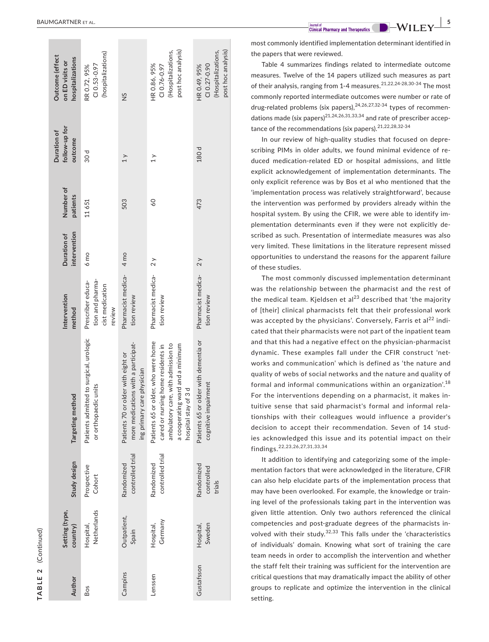| ົ |
|---|
|   |
| L |
|   |
|   |
|   |
| v |
|   |
|   |
|   |
| ٠ |
|   |

| Outcome (effect<br>hospitalizations<br>on ED visits or | (hospitalizations)<br>CI 0.53-0.97<br>RR 0.72, 95%                 | $\frac{5}{2}$                                                                                           | post hoc analysis)<br>(Hospitalizations,<br>HR0.86, 95%<br>$C1 0.76 - 0.97$                                                                                                 | post hoc analysis)<br>(Hospitalizations,<br>CI 0.27-0.90<br>HR0.49, 95% |
|--------------------------------------------------------|--------------------------------------------------------------------|---------------------------------------------------------------------------------------------------------|-----------------------------------------------------------------------------------------------------------------------------------------------------------------------------|-------------------------------------------------------------------------|
| follow-up for<br>Duration of<br>outcome                | 30 d                                                               | $\geq$                                                                                                  | $\geq$                                                                                                                                                                      | 180 d                                                                   |
| Number of<br>patients                                  | 11651                                                              | 503                                                                                                     | $\frac{60}{2}$                                                                                                                                                              | 473                                                                     |
| intervention<br>Duration of                            | $6 \text{ mo}$                                                     |                                                                                                         |                                                                                                                                                                             | 2y                                                                      |
| Intervention<br>method                                 | tion and pharma-<br>Prescriber educa-<br>cist medication<br>review | Pharmacist medica- 4 mo<br>tion review                                                                  | Pharmacist medica-2y<br>tion review                                                                                                                                         | Pharmacist medica-<br>tion review                                       |
| Targeting method                                       | Patients admitted to surgical, urologic<br>or orthopaedic units    | more medications with a participat-<br>Patients 70 or older with eight or<br>ing primary care physician | Patients 65 or older, who were home<br>ambulatory care, with admission to<br>a cooperating ward and a minimum<br>cared or nursing home residents in<br>hospital stay of 3 d | Patients 65 or older with dementia or<br>cognitive impairment           |
| Study design                                           | Prospective<br>Cohort                                              | controlled trial<br>Randomized                                                                          | controlled trial<br>Randomized                                                                                                                                              | Randomized<br>controlled<br>trials                                      |
| Setting (type,<br>country)                             | Netherlands<br>Hospital,                                           | Outpatient,<br>Spain                                                                                    | Germany<br>Hospital,                                                                                                                                                        | Sweden<br>Hospital,                                                     |
| Author                                                 | Bos                                                                | Campins                                                                                                 | Lenssen                                                                                                                                                                     | Gustafsson                                                              |

most commonly identified implementation determinant identified in the papers that were reviewed.

Table 4 summarizes findings related to intermediate outcome measures. Twelve of the 14 papers utilized such measures as part of their analysis, ranging from 1-4 measures.<sup>21,22,24-28,30-34</sup> The most commonly reported intermediate outcomes were number or rate of drug-related problems (six papers),<sup>24,26,27,32-34</sup> types of recommendations made (six papers) $2^{1,24,26,31,33,34}$  and rate of prescriber acceptance of the recommendations (six papers).<sup>21,22,28,32-34</sup>

In our review of high-quality studies that focused on depre scribing PIMs in older adults, we found minimal evidence of re duced medication-related ED or hospital admissions, and little explicit acknowledgement of implementation determinants. The only explicit reference was by Bos et al who mentioned that the 'implementation process was relatively straightforward', because the intervention was performed by providers already within the hospital system. By using the CFIR, we were able to identify im plementation determinants even if they were not explicitly de scribed as such. Presentation of intermediate measures was also very limited. These limitations in the literature represent missed opportunities to understand the reasons for the apparent failure of these studies.

The most commonly discussed implementation determinant was the relationship between the pharmacist and the rest of the medical team. Kjeldsen et al<sup>23</sup> described that 'the majority of [their] clinical pharmacists felt that their professional work was accepted by the physicians'. Conversely, Farris et al<sup>22</sup> indicated that their pharmacists were not part of the inpatient team and that this had a negative effect on the physician-pharmacist dynamic. These examples fall under the CFIR construct 'net works and communication' which is defined as 'the nature and quality of webs of social networks and the nature and quality of formal and informal communications within an organization'.<sup>18</sup> For the interventions depending on a pharmacist, it makes in tuitive sense that said pharmacist's formal and informal rela tionships with their colleagues would influence a provider's decision to accept their recommendation. Seven of 14 stud ies acknowledged this issue and its potential impact on their findings.22,23,26,27,31,33,34

It addition to identifying and categorizing some of the imple mentation factors that were acknowledged in the literature, CFIR can also help elucidate parts of the implementation process that may have been overlooked. For example, the knowledge or train ing level of the professionals taking part in the intervention was given little attention. Only two authors referenced the clinical competencies and post-graduate degrees of the pharmacists in volved with their study. $32,33$  This falls under the 'characteristics of individuals' domain. Knowing what sort of training the care team needs in order to accomplish the intervention and whether the staff felt their training was sufficient for the intervention are critical questions that may dramatically impact the ability of other groups to replicate and optimize the intervention in the clinical setting.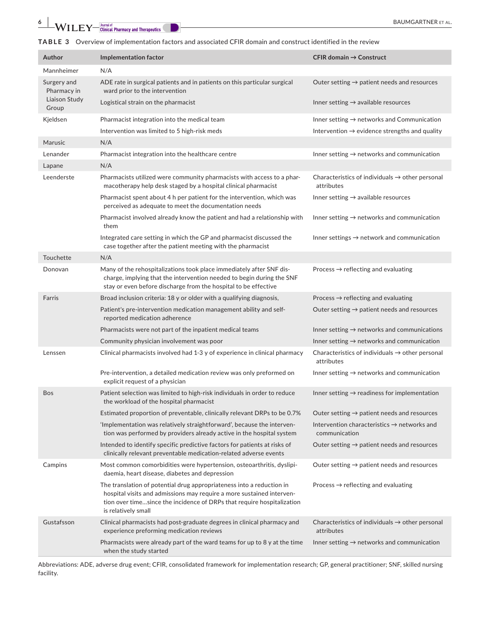# **6**  $\blacksquare$  **WILEY**  $\blacksquare$  **EXECUTER** ET AL.

**TABLE 3**  Overview of implementation factors and associated CFIR domain and construct identified in the review

| Author                     | Implementation factor                                                                                                                                                                                                                           | CFIR domain $\rightarrow$ Construct                                       |
|----------------------------|-------------------------------------------------------------------------------------------------------------------------------------------------------------------------------------------------------------------------------------------------|---------------------------------------------------------------------------|
| Mannheimer                 | N/A                                                                                                                                                                                                                                             |                                                                           |
| Surgery and<br>Pharmacy in | ADE rate in surgical patients and in patients on this particular surgical<br>ward prior to the intervention                                                                                                                                     | Outer setting $\rightarrow$ patient needs and resources                   |
| Liaison Study<br>Group     | Logistical strain on the pharmacist                                                                                                                                                                                                             | Inner setting $\rightarrow$ available resources                           |
| Kjeldsen                   | Pharmacist integration into the medical team                                                                                                                                                                                                    | Inner setting $\rightarrow$ networks and Communication                    |
|                            | Intervention was limited to 5 high-risk meds                                                                                                                                                                                                    | Intervention $\rightarrow$ evidence strengths and quality                 |
| Marusic                    | N/A                                                                                                                                                                                                                                             |                                                                           |
| Lenander                   | Pharmacist integration into the healthcare centre                                                                                                                                                                                               | Inner setting $\rightarrow$ networks and communication                    |
| Lapane                     | N/A                                                                                                                                                                                                                                             |                                                                           |
| Leenderste                 | Pharmacists utilized were community pharmacists with access to a phar-<br>macotherapy help desk staged by a hospital clinical pharmacist                                                                                                        | Characteristics of individuals $\rightarrow$ other personal<br>attributes |
|                            | Pharmacist spent about 4 h per patient for the intervention, which was<br>perceived as adequate to meet the documentation needs                                                                                                                 | Inner setting $\rightarrow$ available resources                           |
|                            | Pharmacist involved already know the patient and had a relationship with<br>them                                                                                                                                                                | Inner setting $\rightarrow$ networks and communication                    |
|                            | Integrated care setting in which the GP and pharmacist discussed the<br>case together after the patient meeting with the pharmacist                                                                                                             | Inner settings $\rightarrow$ network and communication                    |
| Touchette                  | N/A                                                                                                                                                                                                                                             |                                                                           |
| Donovan                    | Many of the rehospitalizations took place immediately after SNF dis-<br>charge, implying that the intervention needed to begin during the SNF<br>stay or even before discharge from the hospital to be effective                                | Process $\rightarrow$ reflecting and evaluating                           |
| Farris                     | Broad inclusion criteria: 18 y or older with a qualifying diagnosis,                                                                                                                                                                            | Process $\rightarrow$ reflecting and evaluating                           |
|                            | Patient's pre-intervention medication management ability and self-<br>reported medication adherence                                                                                                                                             | Outer setting $\rightarrow$ patient needs and resources                   |
|                            | Pharmacists were not part of the inpatient medical teams                                                                                                                                                                                        | Inner setting $\rightarrow$ networks and communications                   |
|                            | Community physician involvement was poor                                                                                                                                                                                                        | Inner setting $\rightarrow$ networks and communication                    |
| Lenssen                    | Clinical pharmacists involved had 1-3 y of experience in clinical pharmacy                                                                                                                                                                      | Characteristics of individuals $\rightarrow$ other personal<br>attributes |
|                            | Pre-intervention, a detailed medication review was only preformed on<br>explicit request of a physician                                                                                                                                         | Inner setting $\rightarrow$ networks and communication                    |
| <b>Bos</b>                 | Patient selection was limited to high-risk individuals in order to reduce<br>the workload of the hospital pharmacist                                                                                                                            | Inner setting $\rightarrow$ readiness for implementation                  |
|                            | Estimated proportion of preventable, clinically relevant DRPs to be 0.7%                                                                                                                                                                        | Outer setting $\rightarrow$ patient needs and resources                   |
|                            | 'Implementation was relatively straightforward', because the interven-<br>tion was performed by providers already active in the hospital system                                                                                                 | Intervention characteristics $\rightarrow$ networks and<br>communication  |
|                            | Intended to identify specific predictive factors for patients at risks of<br>clinically relevant preventable medication-related adverse events                                                                                                  | Outer setting $\rightarrow$ patient needs and resources                   |
| Campins                    | Most common comorbidities were hypertension, osteoarthritis, dyslipi-<br>daemia, heart disease, diabetes and depression                                                                                                                         | Outer setting $\rightarrow$ patient needs and resources                   |
|                            | The translation of potential drug appropriateness into a reduction in<br>hospital visits and admissions may require a more sustained interven-<br>tion over timesince the incidence of DRPs that require hospitalization<br>is relatively small | Process $\rightarrow$ reflecting and evaluating                           |
| Gustafsson                 | Clinical pharmacists had post-graduate degrees in clinical pharmacy and<br>experience preforming medication reviews                                                                                                                             | Characteristics of individuals $\rightarrow$ other personal<br>attributes |
|                            | Pharmacists were already part of the ward teams for up to 8 y at the time<br>when the study started                                                                                                                                             | Inner setting $\rightarrow$ networks and communication                    |

Abbreviations: ADE, adverse drug event; CFIR, consolidated framework for implementation research; GP, general practitioner; SNF, skilled nursing facility.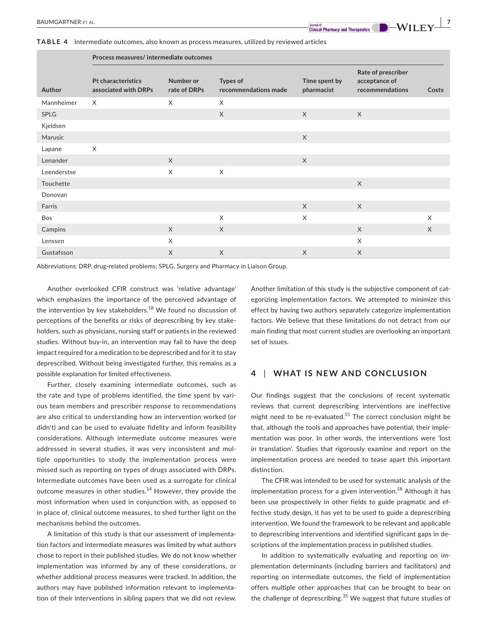**TABLE 4** Intermediate outcomes, also known as process measures, utilized by reviewed articles

|             | Process measures/ intermediate outcomes    |                           |                                  |                             |                                                        |          |  |
|-------------|--------------------------------------------|---------------------------|----------------------------------|-----------------------------|--------------------------------------------------------|----------|--|
| Author      | Pt characteristics<br>associated with DRPs | Number or<br>rate of DRPs | Types of<br>recommendations made | Time spent by<br>pharmacist | Rate of prescriber<br>acceptance of<br>recommendations | Costs    |  |
| Mannheimer  | $\times$                                   | X                         | X                                |                             |                                                        |          |  |
| <b>SPLG</b> |                                            |                           | $\times$                         | $\chi$                      | $\times$                                               |          |  |
| Kjeldsen    |                                            |                           |                                  |                             |                                                        |          |  |
| Marusic     |                                            |                           |                                  | $\times$                    |                                                        |          |  |
| Lapane      | X                                          |                           |                                  |                             |                                                        |          |  |
| Lenander    |                                            | $\times$                  |                                  | $\times$                    |                                                        |          |  |
| Leenderstse |                                            | $\times$                  | $\times$                         |                             |                                                        |          |  |
| Touchette   |                                            |                           |                                  |                             | $\times$                                               |          |  |
| Donovan     |                                            |                           |                                  |                             |                                                        |          |  |
| Farris      |                                            |                           |                                  | $\times$                    | $\times$                                               |          |  |
| Bos         |                                            |                           | X                                | X                           |                                                        | $\times$ |  |
| Campins     |                                            | $\times$                  | $\times$                         |                             | $\times$                                               | $\times$ |  |
| Lenssen     |                                            | X                         |                                  |                             | X                                                      |          |  |
| Gustafsson  |                                            | $\times$                  | $\times$                         | X                           | $\times$                                               |          |  |

Abbreviations: DRP, drug-related problems; SPLG, Surgery and Pharmacy in Liaison Group.

Another overlooked CFIR construct was 'relative advantage' which emphasizes the importance of the perceived advantage of the intervention by key stakeholders.<sup>18</sup> We found no discussion of perceptions of the benefits or risks of deprescribing by key stakeholders, such as physicians, nursing staff or patients in the reviewed studies. Without buy-in, an intervention may fail to have the deep impact required for a medication to be deprescribed and for it to stay deprescribed. Without being investigated further, this remains as a possible explanation for limited effectiveness.

Further, closely examining intermediate outcomes, such as the rate and type of problems identified, the time spent by various team members and prescriber response to recommendations are also critical to understanding how an intervention worked (or didn't) and can be used to evaluate fidelity and inform feasibility considerations. Although intermediate outcome measures were addressed in several studies, it was very inconsistent and multiple opportunities to study the implementation process were missed such as reporting on types of drugs associated with DRPs. Intermediate outcomes have been used as a surrogate for clinical outcome measures in other studies.<sup>14</sup> However, they provide the most information when used in conjunction with, as opposed to in place of, clinical outcome measures, to shed further light on the mechanisms behind the outcomes.

A limitation of this study is that our assessment of implementation factors and intermediate measures was limited by what authors chose to report in their published studies. We do not know whether implementation was informed by any of these considerations, or whether additional process measures were tracked. In addition, the authors may have published information relevant to implementation of their interventions in sibling papers that we did not review. Another limitation of this study is the subjective component of categorizing implementation factors. We attempted to minimize this effect by having two authors separately categorize implementation factors. We believe that these limitations do not detract from our main finding that most current studies are overlooking an important set of issues.

## **4** | **WHAT IS NEW AND CONCLUSION**

Our findings suggest that the conclusions of recent systematic reviews that current deprescribing interventions are ineffective might need to be re-evaluated.15 The correct conclusion might be that, although the tools and approaches have potential, their implementation was poor. In other words, the interventions were 'lost in translation'. Studies that rigorously examine and report on the implementation process are needed to tease apart this important distinction.

The CFIR was intended to be used for systematic analysis of the implementation process for a given intervention.<sup>18</sup> Although it has been use prospectively in other fields to guide pragmatic and effective study design, it has yet to be used to guide a deprescribing intervention. We found the framework to be relevant and applicable to deprescribing interventions and identified significant gaps in descriptions of the implementation process in published studies.

In addition to systematically evaluating and reporting on implementation determinants (including barriers and facilitators) and reporting on intermediate outcomes, the field of implementation offers multiple other approaches that can be brought to bear on the challenge of deprescribing. $35$  We suggest that future studies of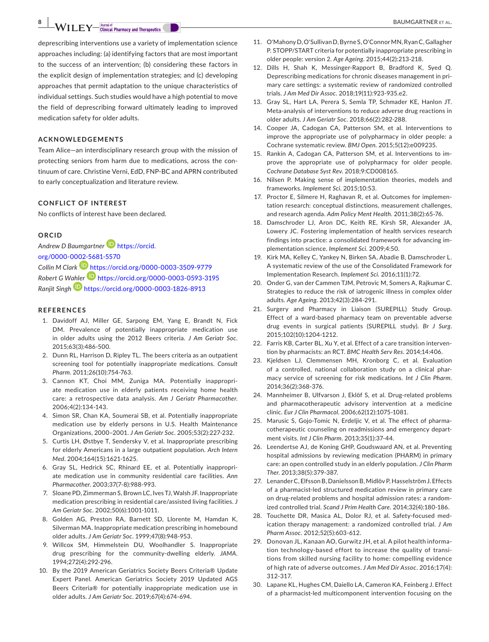**BAUMGARTNER ET AL.**<br> **BAUMGARTNER ET AL.** 

deprescribing interventions use a variety of implementation science approaches including: (a) identifying factors that are most important to the success of an intervention; (b) considering these factors in the explicit design of implementation strategies; and (c) developing approaches that permit adaptation to the unique characteristics of individual settings. Such studies would have a high potential to move the field of deprescribing forward ultimately leading to improved medication safety for older adults.

## **ACKNOWLEDGEMENTS**

Team Alice—an interdisciplinary research group with the mission of protecting seniors from harm due to medications, across the continuum of care. Christine Verni, EdD, FNP-BC and APRN contributed to early conceptualization and literature review.

## **CONFLICT OF INTEREST**

No conflicts of interest have been declared.

#### **ORCID**

*Andrew D Baumgartne[r](https://orcid.org/0000-0002-5681-5570)* [https://orcid.](https://orcid.org/0000-0002-5681-5570) [org/0000-0002-5681-5570](https://orcid.org/0000-0002-5681-5570) *Collin M Clark* <https://orcid.org/0000-0003-3509-9779> *Robert G W[ahler](https://orcid.org/0000-0003-1826-8913)* <https://orcid.org/0000-0003-0593-3195> *Ranjit Singh* <https://orcid.org/0000-0003-1826-8913>

### **REFERENCES**

- 1. Davidoff AJ, Miller GE, Sarpong EM, Yang E, Brandt N, Fick DM. Prevalence of potentially inappropriate medication use in older adults using the 2012 Beers criteria. *J Am Geriatr Soc*. 2015;63(3):486-500.
- 2. Dunn RL, Harrison D, Ripley TL. The beers criteria as an outpatient screening tool for potentially inappropriate medications. *Consult Pharm*. 2011;26(10):754-763.
- 3. Cannon KT, Choi MM, Zuniga MA. Potentially inappropriate medication use in elderly patients receiving home health care: a retrospective data analysis. *Am J Geriatr Pharmacother*. 2006;4(2):134-143.
- 4. Simon SR, Chan KA, Soumerai SB, et al. Potentially inappropriate medication use by elderly persons in U.S. Health Maintenance Organizations, 2000–2001. *J Am Geriatr Soc*. 2005;53(2):227-232.
- 5. Curtis LH, Østbye T, Sendersky V, et al. Inappropriate prescribing for elderly Americans in a large outpatient population. *Arch Intern Med*. 2004;164(15):1621-1625.
- 6. Gray SL, Hedrick SC, Rhinard EE, et al. Potentially inappropriate medication use in community residential care facilities. *Ann Pharmacother*. 2003;37(7-8):988-993.
- 7. Sloane PD, Zimmerman S, Brown LC, Ives TJ, Walsh JF. Inappropriate medication prescribing in residential care/assisted living facilities. *J Am Geriatr Soc*. 2002;50(6):1001-1011.
- 8. Golden AG, Preston RA, Barnett SD, Llorente M, Hamdan K, Silverman MA. Inappropriate medication prescribing in homebound older adults. *J Am Geriatr Soc*. 1999;47(8):948-953.
- 9. Willcox SM, Himmelstein DU, Woolhandler S. Inappropriate drug prescribing for the community-dwelling elderly. *JAMA*. 1994;272(4):292-296.
- 10. By the 2019 American Geriatrics Society Beers Criteria® Update Expert Panel. American Geriatrics Society 2019 Updated AGS Beers Criteria® for potentially inappropriate medication use in older adults. *J Am Geriatr Soc*. 2019;67(4):674-694.
- 11. O'Mahony D, O'Sullivan D, Byrne S, O'Connor MN, Ryan C, Gallagher P. STOPP/START criteria for potentially inappropriate prescribing in older people: version 2. *Age Ageing*. 2015;44(2):213-218.
- 12. Dills H, Shah K, Messinger-Rapport B, Bradford K, Syed Q. Deprescribing medications for chronic diseases management in primary care settings: a systematic review of randomized controlled trials. *J Am Med Dir Assoc*. 2018;19(11):923-935.e2.
- 13. Gray SL, Hart LA, Perera S, Semla TP, Schmader KE, Hanlon JT. Meta-analysis of interventions to reduce adverse drug reactions in older adults. *J Am Geriatr Soc*. 2018;66(2):282-288.
- 14. Cooper JA, Cadogan CA, Patterson SM, et al. Interventions to improve the appropriate use of polypharmacy in older people: a Cochrane systematic review. *BMJ Open*. 2015;5(12):e009235.
- 15. Rankin A, Cadogan CA, Patterson SM, et al. Interventions to improve the appropriate use of polypharmacy for older people. *Cochrane Database Syst Rev*. 2018;9:CD008165.
- 16. Nilsen P. Making sense of implementation theories, models and frameworks. *Implement Sci*. 2015;10:53.
- 17. Proctor E, Silmere H, Raghavan R, et al. Outcomes for implementation research: conceptual distinctions, measurement challenges, and research agenda. *Adm Policy Ment Health*. 2011;38(2):65-76.
- 18. Damschroder LJ, Aron DC, Keith RE, Kirsh SR, Alexander JA, Lowery JC. Fostering implementation of health services research findings into practice: a consolidated framework for advancing implementation science. *Implement Sci*. 2009;4:50.
- 19. Kirk MA, Kelley C, Yankey N, Birken SA, Abadie B, Damschroder L. A systematic review of the use of the Consolidated Framework for Implementation Research. *Implement Sci*. 2016;11(1):72.
- 20. Onder G, van der Cammen TJM, Petrovic M, Somers A, Rajkumar C. Strategies to reduce the risk of iatrogenic illness in complex older adults. *Age Ageing*. 2013;42(3):284-291.
- 21. Surgery and Pharmacy in Liaison (SUREPILL) Study Group. Effect of a ward-based pharmacy team on preventable adverse drug events in surgical patients (SUREPILL study). *Br J Surg*. 2015;102(10):1204-1212.
- 22. Farris KB, Carter BL, Xu Y, et al. Effect of a care transition intervention by pharmacists: an RCT. *BMC Health Serv Res*. 2014;14:406.
- 23. Kjeldsen LJ, Clemmensen MH, Kronborg C, et al. Evaluation of a controlled, national collaboration study on a clinical pharmacy service of screening for risk medications. *Int J Clin Pharm*. 2014;36(2):368-376.
- 24. Mannheimer B, Ulfvarson J, Eklöf S, et al. Drug-related problems and pharmacotherapeutic advisory intervention at a medicine clinic. *Eur J Clin Pharmacol*. 2006;62(12):1075-1081.
- 25. Marusic S, Gojo-Tomic N, Erdeljic V, et al. The effect of pharmacotherapeutic counseling on readmissions and emergency department visits. *Int J Clin Pharm*. 2013;35(1):37-44.
- 26. Leendertse AJ, de Koning GHP, Goudswaard AN, et al. Preventing hospital admissions by reviewing medication (PHARM) in primary care: an open controlled study in an elderly population. *J Clin Pharm Ther*. 2013;38(5):379-387.
- 27. Lenander C, Elfsson B, Danielsson B, Midlöv P, Hasselström J. Effects of a pharmacist-led structured medication review in primary care on drug-related problems and hospital admission rates: a randomized controlled trial. *Scand J Prim Health Care*. 2014;32(4):180-186.
- 28. Touchette DR, Masica AL, Dolor RJ, et al. Safety-focused medication therapy management: a randomized controlled trial. *J Am Pharm Assoc*. 2012;52(5):603-612.
- 29. Donovan JL, Kanaan AO, Gurwitz JH, et al. A pilot health information technology-based effort to increase the quality of transitions from skilled nursing facility to home: compelling evidence of high rate of adverse outcomes. *J Am Med Dir Assoc*. 2016;17(4): 312-317.
- 30. Lapane KL, Hughes CM, Daiello LA, Cameron KA, Feinberg J. Effect of a pharmacist-led multicomponent intervention focusing on the